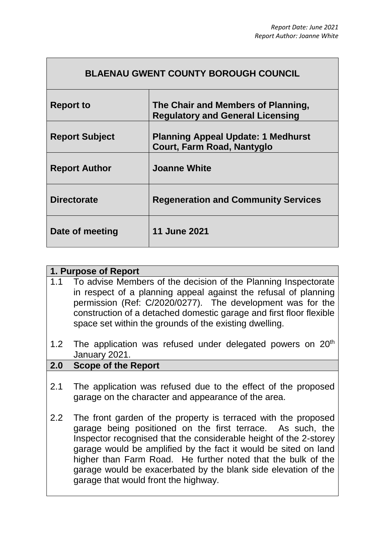| <b>Report to</b>      | The Chair and Members of Planning,<br><b>Regulatory and General Licensing</b> |
|-----------------------|-------------------------------------------------------------------------------|
| <b>Report Subject</b> | <b>Planning Appeal Update: 1 Medhurst</b><br>Court, Farm Road, Nantyglo       |
| <b>Report Author</b>  | <b>Joanne White</b>                                                           |
| <b>Directorate</b>    | <b>Regeneration and Community Services</b>                                    |
| Date of meeting       | <b>11 June 2021</b>                                                           |

|     | 1. Purpose of Report                                                                                                                                                                                                                                                                                                                                                                                                                           |  |
|-----|------------------------------------------------------------------------------------------------------------------------------------------------------------------------------------------------------------------------------------------------------------------------------------------------------------------------------------------------------------------------------------------------------------------------------------------------|--|
| 1.1 | To advise Members of the decision of the Planning Inspectorate<br>in respect of a planning appeal against the refusal of planning<br>permission (Ref: C/2020/0277). The development was for the<br>construction of a detached domestic garage and first floor flexible<br>space set within the grounds of the existing dwelling.                                                                                                               |  |
| 1.2 | The application was refused under delegated powers on 20 <sup>th</sup><br>January 2021.                                                                                                                                                                                                                                                                                                                                                        |  |
| 2.0 | <b>Scope of the Report</b>                                                                                                                                                                                                                                                                                                                                                                                                                     |  |
| 2.1 | The application was refused due to the effect of the proposed<br>garage on the character and appearance of the area.                                                                                                                                                                                                                                                                                                                           |  |
| 2.2 | The front garden of the property is terraced with the proposed<br>garage being positioned on the first terrace. As such, the<br>Inspector recognised that the considerable height of the 2-storey<br>garage would be amplified by the fact it would be sited on land<br>higher than Farm Road. He further noted that the bulk of the<br>garage would be exacerbated by the blank side elevation of the<br>garage that would front the highway. |  |